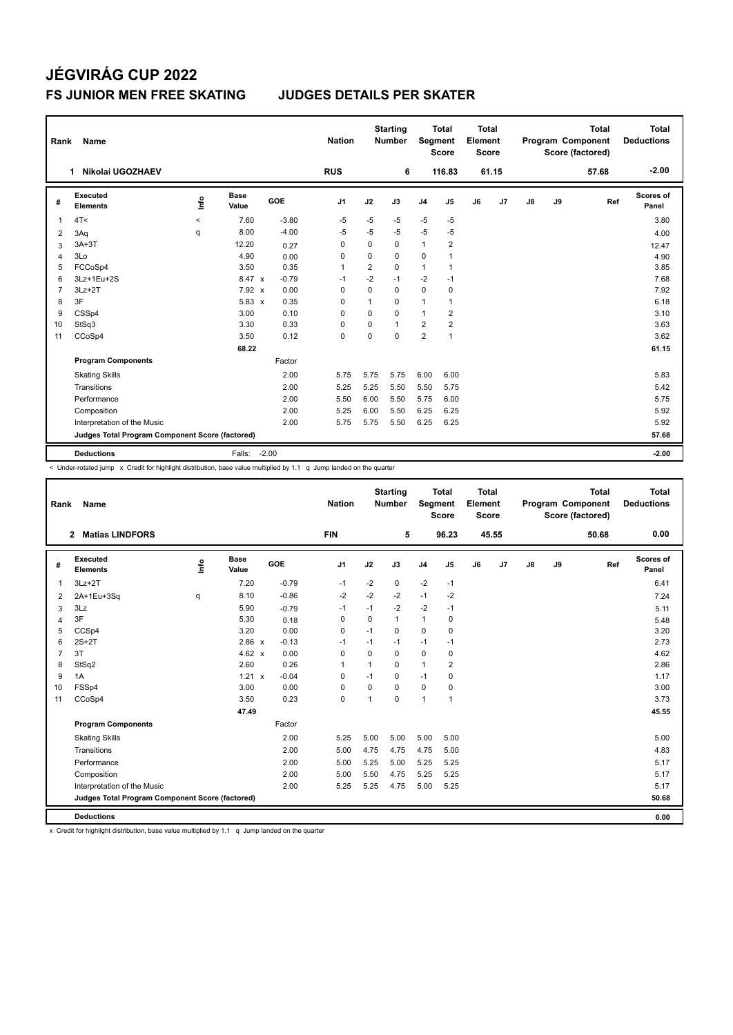# **JÉGVIRÁG CUP 2022 FS JUNIOR MEN FREE SKATING JUDGES DETAILS PER SKATER**

| Rank           | <b>Name</b>                                     |         |                      |         | <b>Nation</b>  |              | <b>Starting</b><br><b>Number</b> | Segment        | <b>Total</b><br><b>Score</b> | <b>Total</b><br>Element<br><b>Score</b> |                |               |    | <b>Total</b><br>Program Component<br>Score (factored) | <b>Total</b><br><b>Deductions</b> |
|----------------|-------------------------------------------------|---------|----------------------|---------|----------------|--------------|----------------------------------|----------------|------------------------------|-----------------------------------------|----------------|---------------|----|-------------------------------------------------------|-----------------------------------|
|                | Nikolai UGOZHAEV<br>1                           |         |                      |         | <b>RUS</b>     |              | 6                                |                | 116.83                       |                                         | 61.15          |               |    | 57.68                                                 | $-2.00$                           |
| #              | Executed<br><b>Elements</b>                     | lnfo    | <b>Base</b><br>Value | GOE     | J <sub>1</sub> | J2           | J3                               | J <sub>4</sub> | J <sub>5</sub>               | J6                                      | J <sub>7</sub> | $\mathsf{J}8$ | J9 | Ref                                                   | Scores of<br>Panel                |
| $\overline{1}$ | 4T<                                             | $\prec$ | 7.60                 | $-3.80$ | -5             | -5           | $-5$                             | $-5$           | $-5$                         |                                         |                |               |    |                                                       | 3.80                              |
| 2              | 3Aq                                             | q       | 8.00                 | $-4.00$ | $-5$           | $-5$         | $-5$                             | $-5$           | $-5$                         |                                         |                |               |    |                                                       | 4.00                              |
| 3              | $3A+3T$                                         |         | 12.20                | 0.27    | 0              | 0            | 0                                | $\mathbf{1}$   | 2                            |                                         |                |               |    |                                                       | 12.47                             |
| $\overline{4}$ | 3Lo                                             |         | 4.90                 | 0.00    | 0              | 0            | 0                                | $\mathbf 0$    | 1                            |                                         |                |               |    |                                                       | 4.90                              |
| 5              | FCCoSp4                                         |         | 3.50                 | 0.35    | $\mathbf{1}$   | 2            | 0                                | $\mathbf{1}$   | $\mathbf{1}$                 |                                         |                |               |    |                                                       | 3.85                              |
| 6              | 3Lz+1Eu+2S                                      |         | 8.47 x               | $-0.79$ | $-1$           | $-2$         | $-1$                             | $-2$           | $-1$                         |                                         |                |               |    |                                                       | 7.68                              |
| $\overline{7}$ | $3Lz + 2T$                                      |         | $7.92 \times$        | 0.00    | 0              | 0            | 0                                | $\mathbf 0$    | 0                            |                                         |                |               |    |                                                       | 7.92                              |
| 8              | 3F                                              |         | $5.83 \times$        | 0.35    | $\Omega$       | $\mathbf{1}$ | 0                                | $\mathbf{1}$   | $\mathbf{1}$                 |                                         |                |               |    |                                                       | 6.18                              |
| 9              | CSSp4                                           |         | 3.00                 | 0.10    | 0              | 0            | $\Omega$                         | $\mathbf{1}$   | 2                            |                                         |                |               |    |                                                       | 3.10                              |
| 10             | StSq3                                           |         | 3.30                 | 0.33    | 0              | $\Omega$     | 1                                | $\overline{2}$ | 2                            |                                         |                |               |    |                                                       | 3.63                              |
| 11             | CCoSp4                                          |         | 3.50                 | 0.12    | $\mathbf 0$    | $\Omega$     | $\Omega$                         | $\overline{2}$ | $\mathbf{1}$                 |                                         |                |               |    |                                                       | 3.62                              |
|                |                                                 |         | 68.22                |         |                |              |                                  |                |                              |                                         |                |               |    |                                                       | 61.15                             |
|                | <b>Program Components</b>                       |         |                      | Factor  |                |              |                                  |                |                              |                                         |                |               |    |                                                       |                                   |
|                | <b>Skating Skills</b>                           |         |                      | 2.00    | 5.75           | 5.75         | 5.75                             | 6.00           | 6.00                         |                                         |                |               |    |                                                       | 5.83                              |
|                | Transitions                                     |         |                      | 2.00    | 5.25           | 5.25         | 5.50                             | 5.50           | 5.75                         |                                         |                |               |    |                                                       | 5.42                              |
|                | Performance                                     |         |                      | 2.00    | 5.50           | 6.00         | 5.50                             | 5.75           | 6.00                         |                                         |                |               |    |                                                       | 5.75                              |
|                | Composition                                     |         |                      | 2.00    | 5.25           | 6.00         | 5.50                             | 6.25           | 6.25                         |                                         |                |               |    |                                                       | 5.92                              |
|                | Interpretation of the Music                     |         |                      | 2.00    | 5.75           | 5.75         | 5.50                             | 6.25           | 6.25                         |                                         |                |               |    |                                                       | 5.92                              |
|                | Judges Total Program Component Score (factored) |         |                      |         |                |              |                                  |                |                              |                                         |                |               |    |                                                       | 57.68                             |
|                | <b>Deductions</b>                               |         | Falls:               | $-2.00$ |                |              |                                  |                |                              |                                         |                |               |    |                                                       | $-2.00$                           |

< Under-rotated jump x Credit for highlight distribution, base value multiplied by 1.1 q Jump landed on the quarter

| Rank           | <b>Name</b>                                     |      |                      |            | <b>Nation</b> |              | <b>Starting</b><br><b>Number</b> | Segment        | <b>Total</b><br><b>Score</b> | <b>Total</b><br>Element<br><b>Score</b> |       |    |    | <b>Total</b><br>Program Component<br>Score (factored) | <b>Total</b><br><b>Deductions</b> |
|----------------|-------------------------------------------------|------|----------------------|------------|---------------|--------------|----------------------------------|----------------|------------------------------|-----------------------------------------|-------|----|----|-------------------------------------------------------|-----------------------------------|
|                | <b>Matias LINDFORS</b><br>$\mathbf{2}$          |      |                      |            | <b>FIN</b>    |              | 5                                |                | 96.23                        |                                         | 45.55 |    |    | 50.68                                                 | 0.00                              |
| #              | Executed<br><b>Elements</b>                     | ١nf٥ | <b>Base</b><br>Value | <b>GOE</b> | J1            | J2           | J3                               | J <sub>4</sub> | J5                           | J6                                      | J7    | J8 | J9 | Ref                                                   | Scores of<br>Panel                |
| $\overline{1}$ | $3Lz + 2T$                                      |      | 7.20                 | $-0.79$    | $-1$          | $-2$         | 0                                | $-2$           | $-1$                         |                                         |       |    |    |                                                       | 6.41                              |
| 2              | 2A+1Eu+3Sq                                      | q    | 8.10                 | $-0.86$    | $-2$          | $-2$         | $-2$                             | $-1$           | $-2$                         |                                         |       |    |    |                                                       | 7.24                              |
| 3              | 3Lz                                             |      | 5.90                 | $-0.79$    | $-1$          | $-1$         | $-2$                             | $-2$           | $-1$                         |                                         |       |    |    |                                                       | 5.11                              |
| 4              | 3F                                              |      | 5.30                 | 0.18       | 0             | 0            | 1                                | $\mathbf{1}$   | 0                            |                                         |       |    |    |                                                       | 5.48                              |
| 5              | CCSp4                                           |      | 3.20                 | 0.00       | $\mathbf 0$   | $-1$         | 0                                | $\mathbf 0$    | $\mathbf 0$                  |                                         |       |    |    |                                                       | 3.20                              |
| 6              | $2S+2T$                                         |      | 2.86 x               | $-0.13$    | $-1$          | $-1$         | $-1$                             | $-1$           | $-1$                         |                                         |       |    |    |                                                       | 2.73                              |
| $\overline{7}$ | 3T                                              |      | 4.62 $\times$        | 0.00       | 0             | $\mathbf 0$  | 0                                | $\mathbf 0$    | 0                            |                                         |       |    |    |                                                       | 4.62                              |
| 8              | StSq2                                           |      | 2.60                 | 0.26       | $\mathbf 1$   | $\mathbf{1}$ | $\Omega$                         | $\mathbf{1}$   | $\overline{2}$               |                                         |       |    |    |                                                       | 2.86                              |
| 9              | 1A                                              |      | 1.21 x               | $-0.04$    | 0             | $-1$         | 0                                | $-1$           | 0                            |                                         |       |    |    |                                                       | 1.17                              |
| 10             | FSSp4                                           |      | 3.00                 | 0.00       | $\mathbf 0$   | $\mathbf 0$  | $\Omega$                         | $\mathbf 0$    | 0                            |                                         |       |    |    |                                                       | 3.00                              |
| 11             | CCoSp4                                          |      | 3.50                 | 0.23       | $\mathbf 0$   | 1            | 0                                | $\mathbf{1}$   | 1                            |                                         |       |    |    |                                                       | 3.73                              |
|                |                                                 |      | 47.49                |            |               |              |                                  |                |                              |                                         |       |    |    |                                                       | 45.55                             |
|                | <b>Program Components</b>                       |      |                      | Factor     |               |              |                                  |                |                              |                                         |       |    |    |                                                       |                                   |
|                | <b>Skating Skills</b>                           |      |                      | 2.00       | 5.25          | 5.00         | 5.00                             | 5.00           | 5.00                         |                                         |       |    |    |                                                       | 5.00                              |
|                | Transitions                                     |      |                      | 2.00       | 5.00          | 4.75         | 4.75                             | 4.75           | 5.00                         |                                         |       |    |    |                                                       | 4.83                              |
|                | Performance                                     |      |                      | 2.00       | 5.00          | 5.25         | 5.00                             | 5.25           | 5.25                         |                                         |       |    |    |                                                       | 5.17                              |
|                | Composition                                     |      |                      | 2.00       | 5.00          | 5.50         | 4.75                             | 5.25           | 5.25                         |                                         |       |    |    |                                                       | 5.17                              |
|                | Interpretation of the Music                     |      |                      | 2.00       | 5.25          | 5.25         | 4.75                             | 5.00           | 5.25                         |                                         |       |    |    |                                                       | 5.17                              |
|                | Judges Total Program Component Score (factored) |      |                      |            |               |              |                                  |                |                              |                                         |       |    |    |                                                       | 50.68                             |
|                | <b>Deductions</b>                               |      |                      |            |               |              |                                  |                |                              |                                         |       |    |    |                                                       | 0.00                              |

x Credit for highlight distribution, base value multiplied by 1.1 q Jump landed on the quarter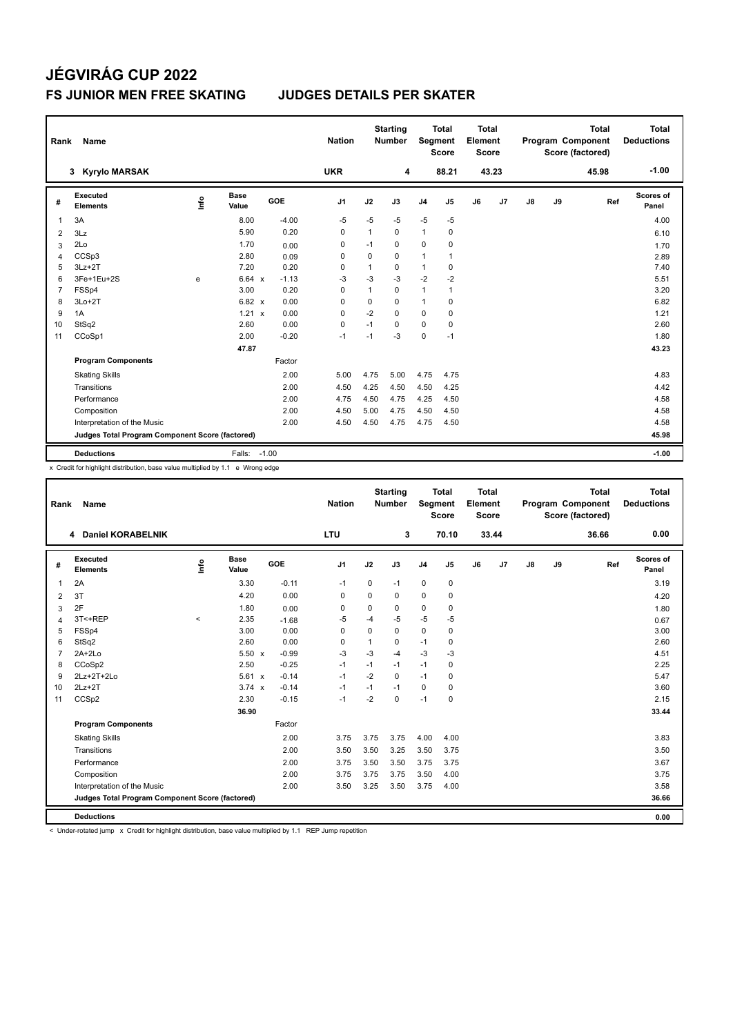# **JÉGVIRÁG CUP 2022 FS JUNIOR MEN FREE SKATING JUDGES DETAILS PER SKATER**

| Rank           | Name                                            |      |                      |            |         | <b>Nation</b>  |             | <b>Starting</b><br><b>Number</b> |                | Total<br>Segment<br><b>Score</b> | Total<br>Element<br><b>Score</b> |       |    |    | <b>Total</b><br>Program Component<br>Score (factored) | Total<br><b>Deductions</b> |
|----------------|-------------------------------------------------|------|----------------------|------------|---------|----------------|-------------|----------------------------------|----------------|----------------------------------|----------------------------------|-------|----|----|-------------------------------------------------------|----------------------------|
|                | 3 Kyrylo MARSAK                                 |      |                      |            |         | <b>UKR</b>     |             | 4                                |                | 88.21                            |                                  | 43.23 |    |    | 45.98                                                 | $-1.00$                    |
| #              | Executed<br><b>Elements</b>                     | ١nf٥ | <b>Base</b><br>Value | <b>GOE</b> |         | J <sub>1</sub> | J2          | J3                               | J <sub>4</sub> | J <sub>5</sub>                   | J6                               | J7    | J8 | J9 | Ref                                                   | Scores of<br>Panel         |
| 1              | 3A                                              |      | 8.00                 |            | $-4.00$ | $-5$           | $-5$        | $-5$                             | $-5$           | $-5$                             |                                  |       |    |    |                                                       | 4.00                       |
| 2              | 3Lz                                             |      | 5.90                 |            | 0.20    | $\Omega$       | 1           | $\Omega$                         | $\mathbf{1}$   | 0                                |                                  |       |    |    |                                                       | 6.10                       |
| 3              | 2Lo                                             |      | 1.70                 |            | 0.00    | 0              | $-1$        | 0                                | $\mathbf 0$    | 0                                |                                  |       |    |    |                                                       | 1.70                       |
| 4              | CCSp3                                           |      | 2.80                 |            | 0.09    | 0              | $\mathbf 0$ | $\mathbf 0$                      | $\mathbf{1}$   | 1                                |                                  |       |    |    |                                                       | 2.89                       |
| 5              | $3Lz + 2T$                                      |      | 7.20                 |            | 0.20    | 0              | 1           | $\mathbf 0$                      | $\mathbf{1}$   | 0                                |                                  |       |    |    |                                                       | 7.40                       |
| 6              | 3Fe+1Eu+2S                                      | e    | 6.64 x               |            | $-1.13$ | -3             | $-3$        | $-3$                             | $-2$           | $-2$                             |                                  |       |    |    |                                                       | 5.51                       |
| $\overline{7}$ | FSSp4                                           |      | 3.00                 |            | 0.20    | 0              | 1           | 0                                | $\mathbf{1}$   | 1                                |                                  |       |    |    |                                                       | 3.20                       |
| 8              | $3Lo+2T$                                        |      | $6.82 \times$        |            | 0.00    | $\Omega$       | $\Omega$    | $\Omega$                         | $\mathbf{1}$   | 0                                |                                  |       |    |    |                                                       | 6.82                       |
| 9              | 1A                                              |      | 1.21 x               |            | 0.00    | $\mathbf 0$    | $-2$        | $\Omega$                         | $\mathbf 0$    | $\mathbf 0$                      |                                  |       |    |    |                                                       | 1.21                       |
| 10             | StSq2                                           |      | 2.60                 |            | 0.00    | 0              | $-1$        | $\Omega$                         | $\mathbf 0$    | 0                                |                                  |       |    |    |                                                       | 2.60                       |
| 11             | CCoSp1                                          |      | 2.00                 |            | $-0.20$ | $-1$           | $-1$        | $-3$                             | $\mathbf 0$    | $-1$                             |                                  |       |    |    |                                                       | 1.80                       |
|                |                                                 |      | 47.87                |            |         |                |             |                                  |                |                                  |                                  |       |    |    |                                                       | 43.23                      |
|                | <b>Program Components</b>                       |      |                      | Factor     |         |                |             |                                  |                |                                  |                                  |       |    |    |                                                       |                            |
|                | <b>Skating Skills</b>                           |      |                      |            | 2.00    | 5.00           | 4.75        | 5.00                             | 4.75           | 4.75                             |                                  |       |    |    |                                                       | 4.83                       |
|                | Transitions                                     |      |                      |            | 2.00    | 4.50           | 4.25        | 4.50                             | 4.50           | 4.25                             |                                  |       |    |    |                                                       | 4.42                       |
|                | Performance                                     |      |                      |            | 2.00    | 4.75           | 4.50        | 4.75                             | 4.25           | 4.50                             |                                  |       |    |    |                                                       | 4.58                       |
|                | Composition                                     |      |                      |            | 2.00    | 4.50           | 5.00        | 4.75                             | 4.50           | 4.50                             |                                  |       |    |    |                                                       | 4.58                       |
|                | Interpretation of the Music                     |      |                      |            | 2.00    | 4.50           | 4.50        | 4.75                             | 4.75           | 4.50                             |                                  |       |    |    |                                                       | 4.58                       |
|                | Judges Total Program Component Score (factored) |      |                      |            |         |                |             |                                  |                |                                  |                                  |       |    |    |                                                       | 45.98                      |
|                | <b>Deductions</b>                               |      | Falls: -1.00         |            |         |                |             |                                  |                |                                  |                                  |       |    |    |                                                       | $-1.00$                    |

x Credit for highlight distribution, base value multiplied by 1.1 e Wrong edge

| Rank           | <b>Name</b>                                     |         |                      |            | <b>Nation</b>  |             | <b>Starting</b><br><b>Number</b> | Segment        | <b>Total</b><br><b>Score</b> | <b>Total</b><br>Element<br><b>Score</b> |       |               |    | <b>Total</b><br>Program Component<br>Score (factored) | <b>Total</b><br><b>Deductions</b> |
|----------------|-------------------------------------------------|---------|----------------------|------------|----------------|-------------|----------------------------------|----------------|------------------------------|-----------------------------------------|-------|---------------|----|-------------------------------------------------------|-----------------------------------|
|                | 4 Daniel KORABELNIK                             |         |                      |            | <b>LTU</b>     |             | 3                                |                | 70.10                        |                                         | 33.44 |               |    | 36.66                                                 | 0.00                              |
| #              | <b>Executed</b><br><b>Elements</b>              | lnfo    | <b>Base</b><br>Value | <b>GOE</b> | J <sub>1</sub> | J2          | J3                               | J <sub>4</sub> | J5                           | J6                                      | J7    | $\mathsf{J}8$ | J9 | Ref                                                   | Scores of<br>Panel                |
| $\overline{1}$ | 2A                                              |         | 3.30                 | $-0.11$    | $-1$           | $\mathbf 0$ | $-1$                             | $\pmb{0}$      | $\mathbf 0$                  |                                         |       |               |    |                                                       | 3.19                              |
| 2              | 3T                                              |         | 4.20                 | 0.00       | $\mathbf 0$    | $\Omega$    | $\Omega$                         | $\mathbf 0$    | $\mathbf 0$                  |                                         |       |               |    |                                                       | 4.20                              |
| 3              | 2F                                              |         | 1.80                 | 0.00       | 0              | 0           | 0                                | $\mathbf 0$    | 0                            |                                         |       |               |    |                                                       | 1.80                              |
| $\overline{4}$ | 3T<+REP                                         | $\prec$ | 2.35                 | $-1.68$    | -5             | $-4$        | $-5$                             | $-5$           | $-5$                         |                                         |       |               |    |                                                       | 0.67                              |
| 5              | FSSp4                                           |         | 3.00                 | 0.00       | $\mathbf 0$    | $\Omega$    | $\Omega$                         | $\mathbf 0$    | $\mathbf 0$                  |                                         |       |               |    |                                                       | 3.00                              |
| 6              | StSq2                                           |         | 2.60                 | 0.00       | 0              | 1           | 0                                | $-1$           | 0                            |                                         |       |               |    |                                                       | 2.60                              |
| $\overline{7}$ | $2A+2Lo$                                        |         | $5.50 \times$        | $-0.99$    | -3             | $-3$        | $-4$                             | $-3$           | $-3$                         |                                         |       |               |    |                                                       | 4.51                              |
| 8              | CCoSp2                                          |         | 2.50                 | $-0.25$    | $-1$           | $-1$        | $-1$                             | $-1$           | 0                            |                                         |       |               |    |                                                       | 2.25                              |
| 9              | 2Lz+2T+2Lo                                      |         | 5.61 x               | $-0.14$    | $-1$           | $-2$        | $\Omega$                         | $-1$           | 0                            |                                         |       |               |    |                                                       | 5.47                              |
| 10             | $2Lz+2T$                                        |         | $3.74 \times$        | $-0.14$    | $-1$           | $-1$        | $-1$                             | 0              | 0                            |                                         |       |               |    |                                                       | 3.60                              |
| 11             | CCS <sub>p2</sub>                               |         | 2.30                 | $-0.15$    | $-1$           | $-2$        | 0                                | $-1$           | 0                            |                                         |       |               |    |                                                       | 2.15                              |
|                |                                                 |         | 36.90                |            |                |             |                                  |                |                              |                                         |       |               |    |                                                       | 33.44                             |
|                | <b>Program Components</b>                       |         |                      | Factor     |                |             |                                  |                |                              |                                         |       |               |    |                                                       |                                   |
|                | <b>Skating Skills</b>                           |         |                      | 2.00       | 3.75           | 3.75        | 3.75                             | 4.00           | 4.00                         |                                         |       |               |    |                                                       | 3.83                              |
|                | Transitions                                     |         |                      | 2.00       | 3.50           | 3.50        | 3.25                             | 3.50           | 3.75                         |                                         |       |               |    |                                                       | 3.50                              |
|                | Performance                                     |         |                      | 2.00       | 3.75           | 3.50        | 3.50                             | 3.75           | 3.75                         |                                         |       |               |    |                                                       | 3.67                              |
|                | Composition                                     |         |                      | 2.00       | 3.75           | 3.75        | 3.75                             | 3.50           | 4.00                         |                                         |       |               |    |                                                       | 3.75                              |
|                | Interpretation of the Music                     |         |                      | 2.00       | 3.50           | 3.25        | 3.50                             | 3.75           | 4.00                         |                                         |       |               |    |                                                       | 3.58                              |
|                | Judges Total Program Component Score (factored) |         |                      |            |                |             |                                  |                |                              |                                         |       |               |    |                                                       | 36.66                             |
|                | <b>Deductions</b>                               |         |                      |            |                |             |                                  |                |                              |                                         |       |               |    |                                                       | 0.00                              |

< Under-rotated jump x Credit for highlight distribution, base value multiplied by 1.1 REP Jump repetition